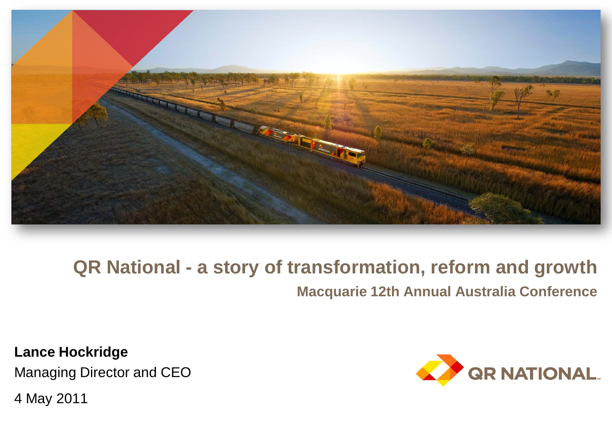

### **QR National - a story of transformation, reform and growth Macquarie 12th Annual Australia Conference**

**Lance Hockridge** Managing Director and CEO

4 May 2011

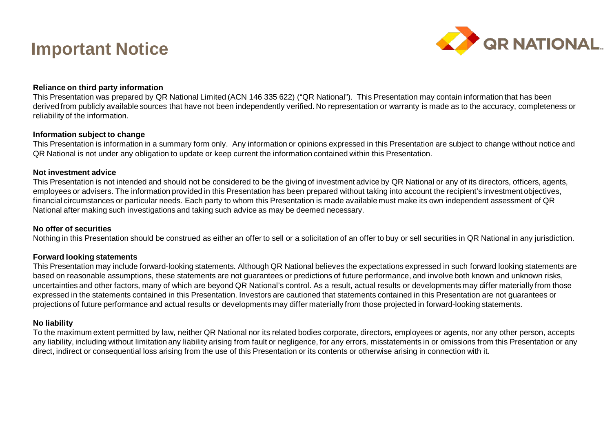#### **Important Notice**



#### **Reliance on third party information**

This Presentation was prepared by QR National Limited (ACN 146 335 622) ("QR National"). This Presentation may contain information that has been derived from publicly available sources that have not been independently verified. No representation or warranty is made as to the accuracy, completeness or reliability of the information.

#### **Information subject to change**

This Presentation is information in a summary form only. Any information or opinions expressed in this Presentation are subject to change without notice and QR National is not under any obligation to update or keep current the information contained within this Presentation.

#### **Not investment advice**

This Presentation is not intended and should not be considered to be the giving of investment advice by QR National or any of its directors, officers, agents, employees or advisers. The information provided in this Presentation has been prepared without taking into account the recipient's investment objectives, financial circumstances or particular needs. Each party to whom this Presentation is made available must make its own independent assessment of QR National after making such investigations and taking such advice as may be deemed necessary.

#### **No offer of securities**

Nothing in this Presentation should be construed as either an offer to sell or a solicitation of an offer to buy or sell securities in QR National in any jurisdiction.

#### **Forward looking statements**

This Presentation may include forward-looking statements. Although QR National believes the expectations expressed in such forward looking statements are based on reasonable assumptions, these statements are not guarantees or predictions of future performance, and involve both known and unknown risks, uncertainties and other factors, many of which are beyond QR National's control. As a result, actual results or developments may differ materially from those expressed in the statements contained in this Presentation. Investors are cautioned that statements contained in this Presentation are not guarantees or projections of future performance and actual results or developments may differ materially from those projected in forward-looking statements.

#### **No liability**

To the maximum extent permitted by law, neither QR National nor its related bodies corporate, directors, employees or agents, nor any other person, accepts any liability, including without limitation any liability arising from fault or negligence, for any errors, misstatements in or omissions from this Presentation or any direct, indirect or consequential loss arising from the use of this Presentation or its contents or otherwise arising in connection with it.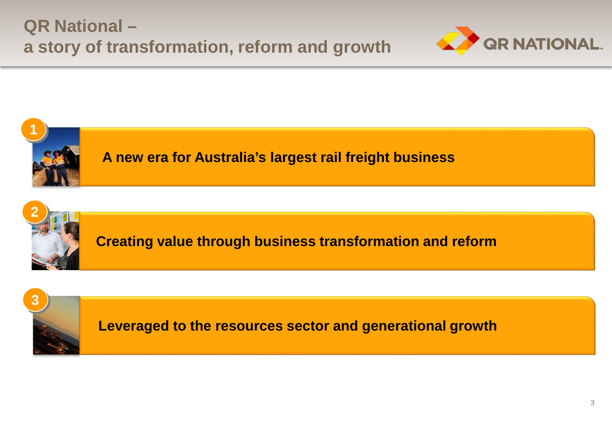





**A new era for Australia's largest rail freight business**



**Creating value through business transformation and reform**



**Leveraged to the resources sector and generational growth**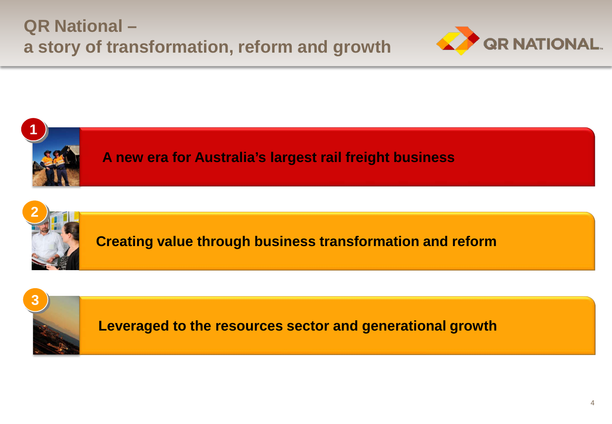





**A new era for Australia's largest rail freight business**



**Creating value through business transformation and reform**



**Leveraged to the resources sector and generational growth**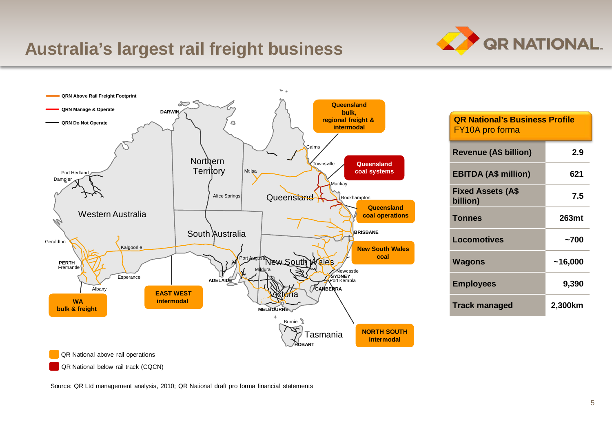# **QR NATIONAL.**

#### **Australia's largest rail freight business**



| <b>QR National's Business Profile</b><br>FY10A pro forma |         |
|----------------------------------------------------------|---------|
| Revenue (A\$ billion)                                    | 2.9     |
| <b>EBITDA (A\$ million)</b>                              | 621     |
| <b>Fixed Assets (A\$</b><br>billion)                     | 7.5     |
| <b>Tonnes</b>                                            | 263mt   |
| Locomotives                                              | ~1200   |
| Wagons                                                   | ~16,000 |
| <b>Employees</b>                                         | 9,390   |
| <b>Track managed</b>                                     | 2,300km |

QR National below rail track (CQCN)

Source: QR Ltd management analysis, 2010; QR National draft pro forma financial statements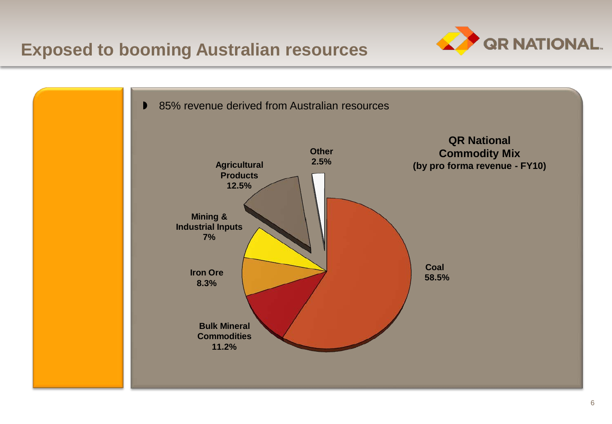

#### **Exposed to booming Australian resources**

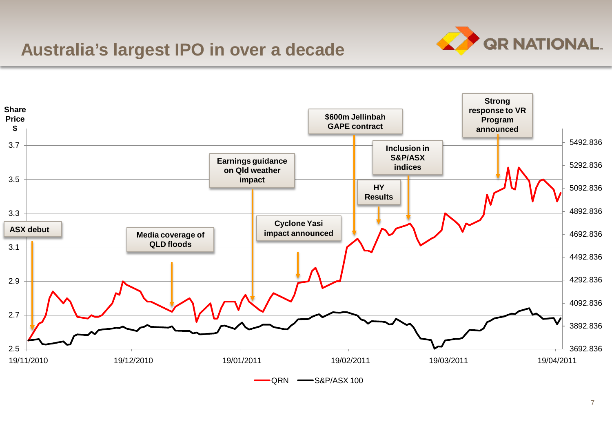#### **Australia's largest IPO in over a decade**



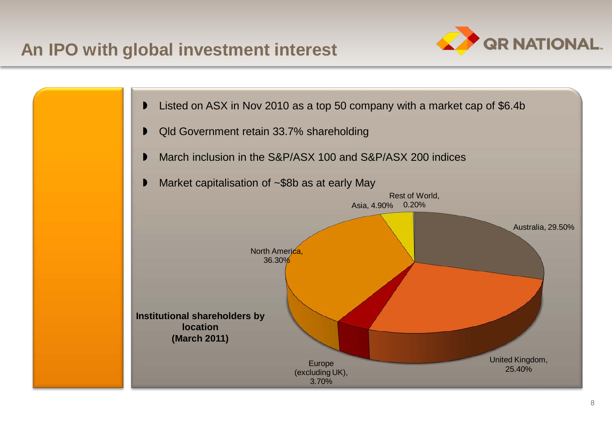#### **An IPO with global investment interest**



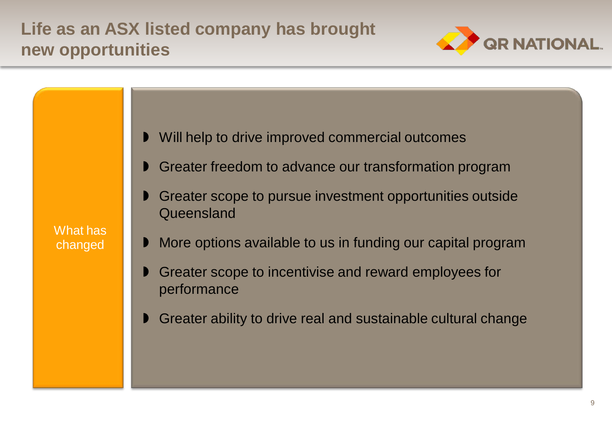### **Life as an ASX listed company has brought new opportunities**





9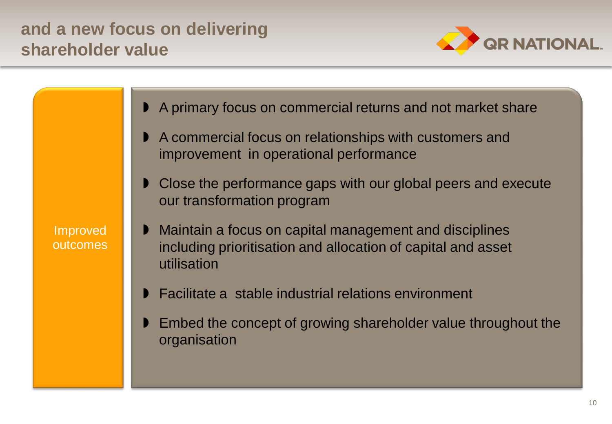#### **and a new focus on delivering shareholder value**



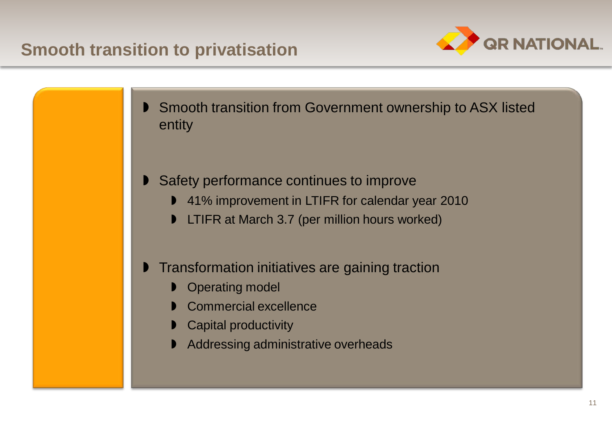#### **Smooth transition to privatisation**



- Smooth transition from Government ownership to ASX listed entity
- Safety performance continues to improve
	- 41% improvement in LTIFR for calendar year 2010
	- LTIFR at March 3.7 (per million hours worked)
- Transformation initiatives are gaining traction
	- Operating model
	- Commercial excellence
	- **D** Capital productivity
	- Addressing administrative overheads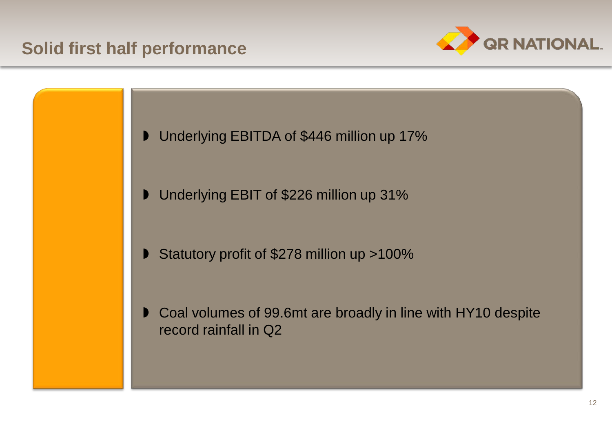#### **Solid first half performance**



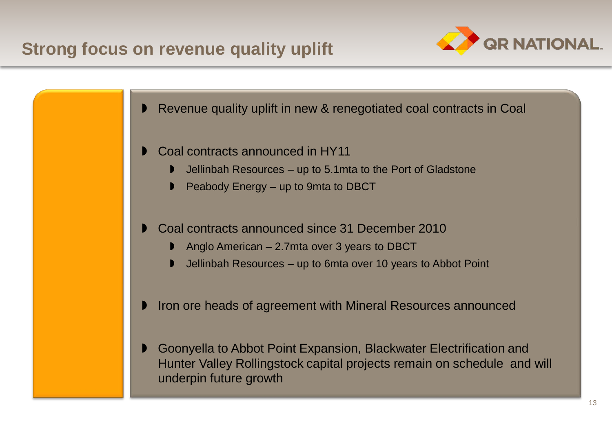#### **Strong focus on revenue quality uplift**

underpin future growth





13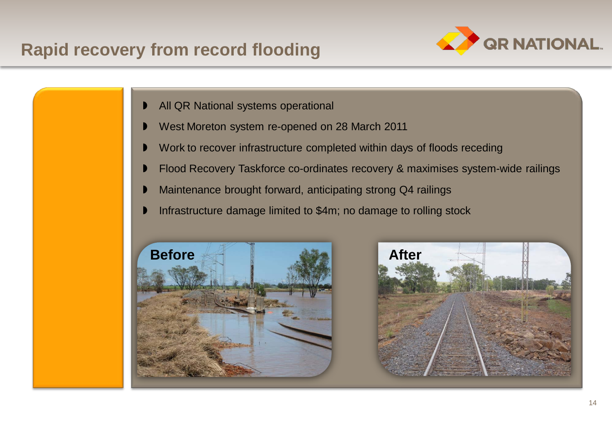### **Rapid recovery from record flooding**



- All QR National systems operational
- West Moreton system re-opened on 28 March 2011
- Work to recover infrastructure completed within days of floods receding
- Flood Recovery Taskforce co-ordinates recovery & maximises system-wide railings
- Maintenance brought forward, anticipating strong Q4 railings
- Infrastructure damage limited to \$4m; no damage to rolling stock



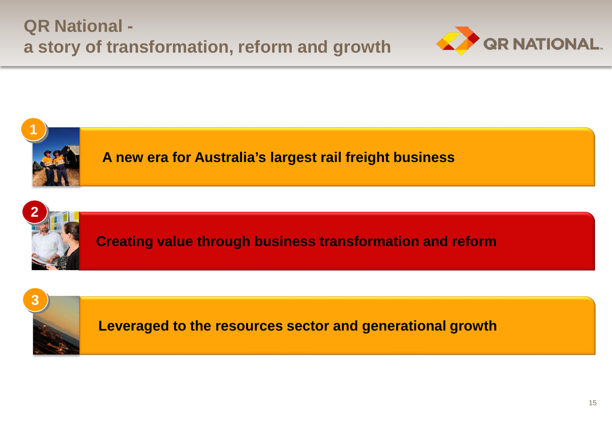





**A new era for Australia's largest rail freight business**



**Creating value through business transformation and reform**



**Leveraged to the resources sector and generational growth**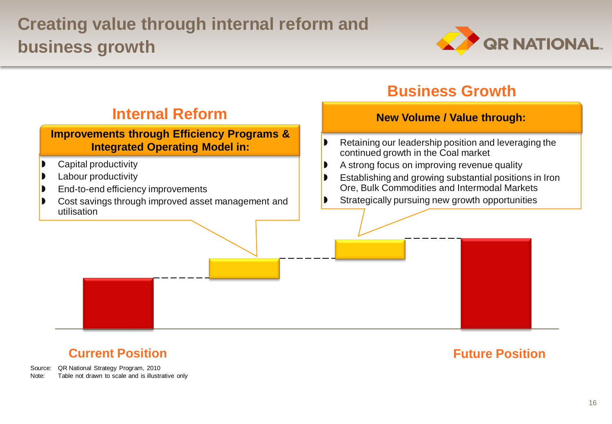## **Creating value through internal reform and business growth**





#### **Current Position**

#### **Future Position**

Source: QR National Strategy Program, 2010<br>Note: Table not drawn to scale and is illustr Table not drawn to scale and is illustrative only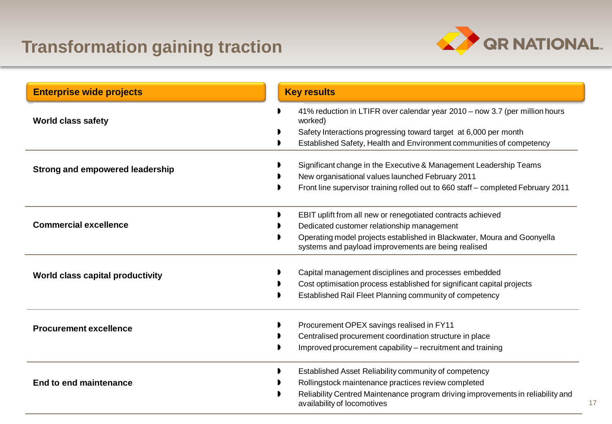### **Transformation gaining traction**



| <b>Enterprise wide projects</b>  | <b>Key results</b>                                                                                                                                                                                                                          |
|----------------------------------|---------------------------------------------------------------------------------------------------------------------------------------------------------------------------------------------------------------------------------------------|
| <b>World class safety</b>        | 41% reduction in LTIFR over calendar year 2010 - now 3.7 (per million hours<br>worked)<br>Safety Interactions progressing toward target at 6,000 per month<br>Established Safety, Health and Environment communities of competency          |
| Strong and empowered leadership  | Significant change in the Executive & Management Leadership Teams<br>New organisational values launched February 2011<br>Front line supervisor training rolled out to 660 staff - completed February 2011                                   |
| <b>Commercial excellence</b>     | EBIT uplift from all new or renegotiated contracts achieved<br>Dedicated customer relationship management<br>Operating model projects established in Blackwater, Moura and Goonyella<br>systems and payload improvements are being realised |
| World class capital productivity | Capital management disciplines and processes embedded<br>Cost optimisation process established for significant capital projects<br>Established Rail Fleet Planning community of competency                                                  |
| <b>Procurement excellence</b>    | Procurement OPEX savings realised in FY11<br>Centralised procurement coordination structure in place<br>Improved procurement capability - recruitment and training                                                                          |
| End to end maintenance           | Established Asset Reliability community of competency<br>Rollingstock maintenance practices review completed<br>Reliability Centred Maintenance program driving improvements in reliability and<br>availability of locomotives              |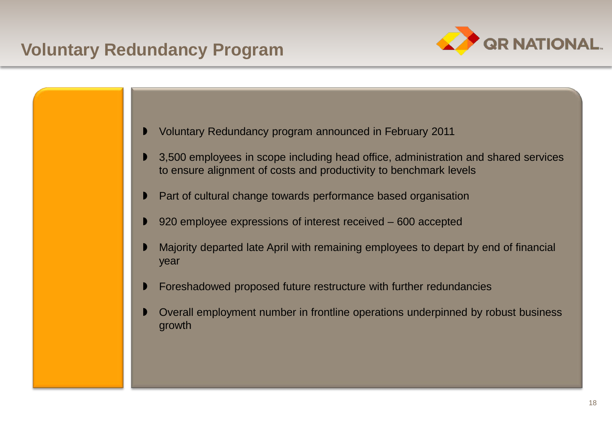#### **Voluntary Redundancy Program**





- 3,500 employees in scope including head office, administration and shared services to ensure alignment of costs and productivity to benchmark levels
- Part of cultural change towards performance based organisation
- 920 employee expressions of interest received 600 accepted
- Majority departed late April with remaining employees to depart by end of financial year
- Foreshadowed proposed future restructure with further redundancies
- Overall employment number in frontline operations underpinned by robust business growth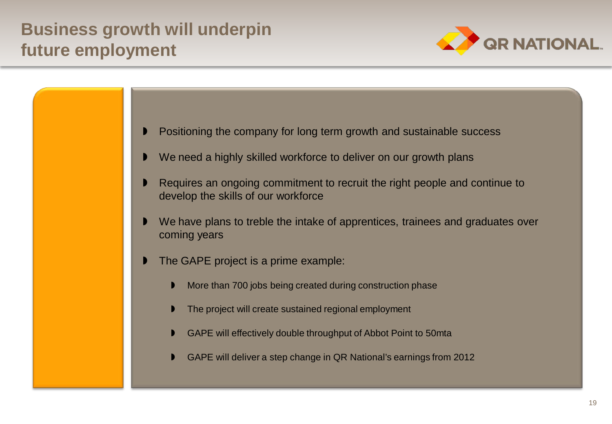### **Business growth will underpin future employment**



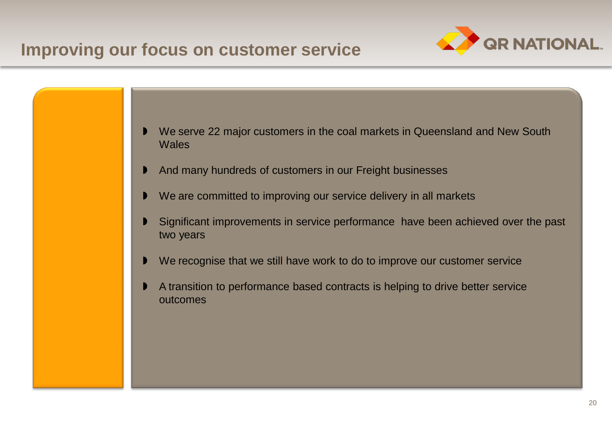#### **Improving our focus on customer service**



- We serve 22 major customers in the coal markets in Queensland and New South **Wales**
- And many hundreds of customers in our Freight businesses
- We are committed to improving our service delivery in all markets
- Significant improvements in service performance have been achieved over the past two years
- We recognise that we still have work to do to improve our customer service
- A transition to performance based contracts is helping to drive better service outcomes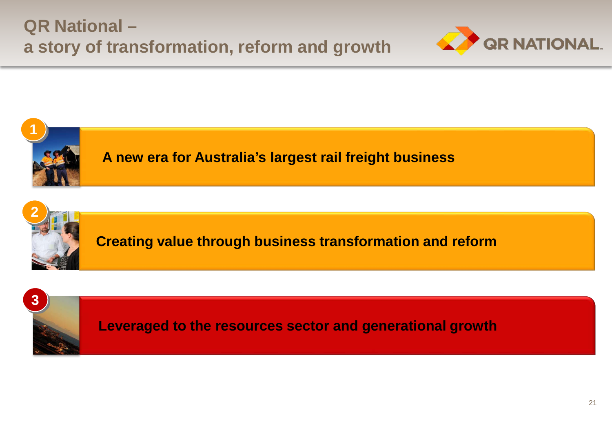





**A new era for Australia's largest rail freight business**



**Creating value through business transformation and reform**



**Leveraged to the resources sector and generational growth**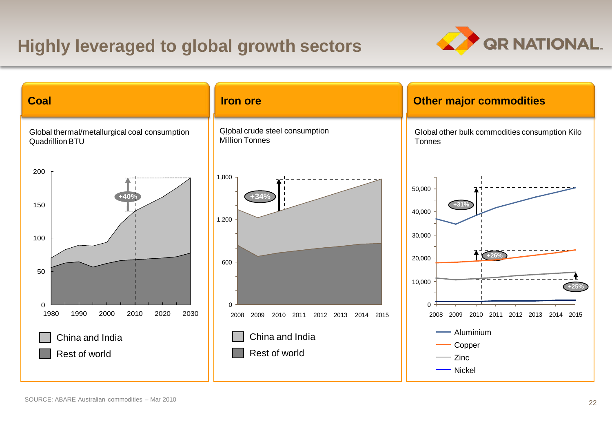### **Highly leveraged to global growth sectors**



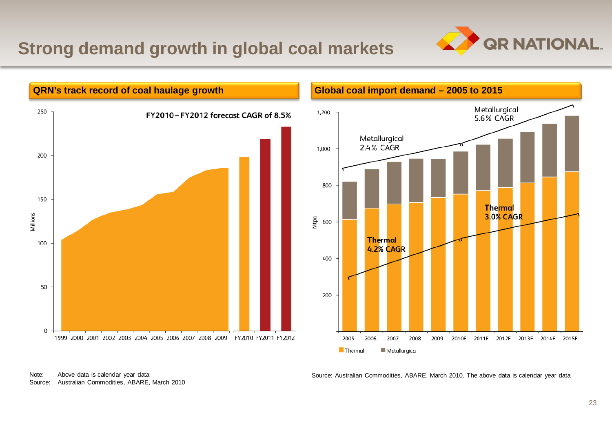#### **Strong demand growth in global coal markets**





Source: Australian Commodities, ABARE, March 2010. The above data is calendar year data

Note: Above data is calendar year data Source: Australian Commodities, ABARE, March 2010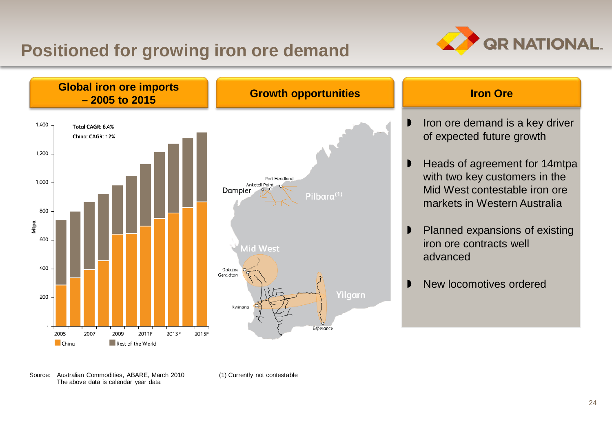#### **Positioned for growing iron ore demand**





Source: Australian Commodities, ABARE, March 2010 The above data is calendar year data

(1) Currently not contestable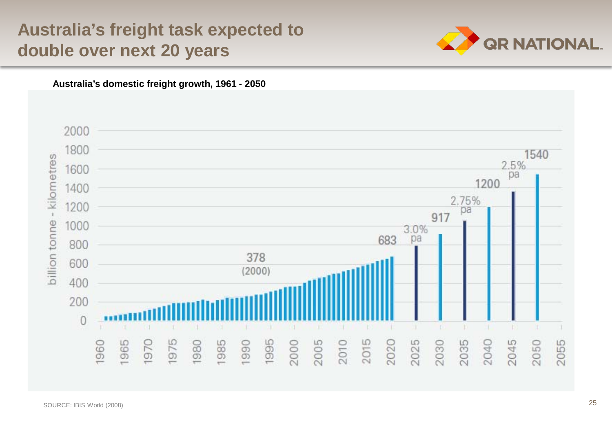#### **DRAFT Australia's freight task expected to double over next 20 years**





**Australia's domestic freight growth, 1961 - 2050**